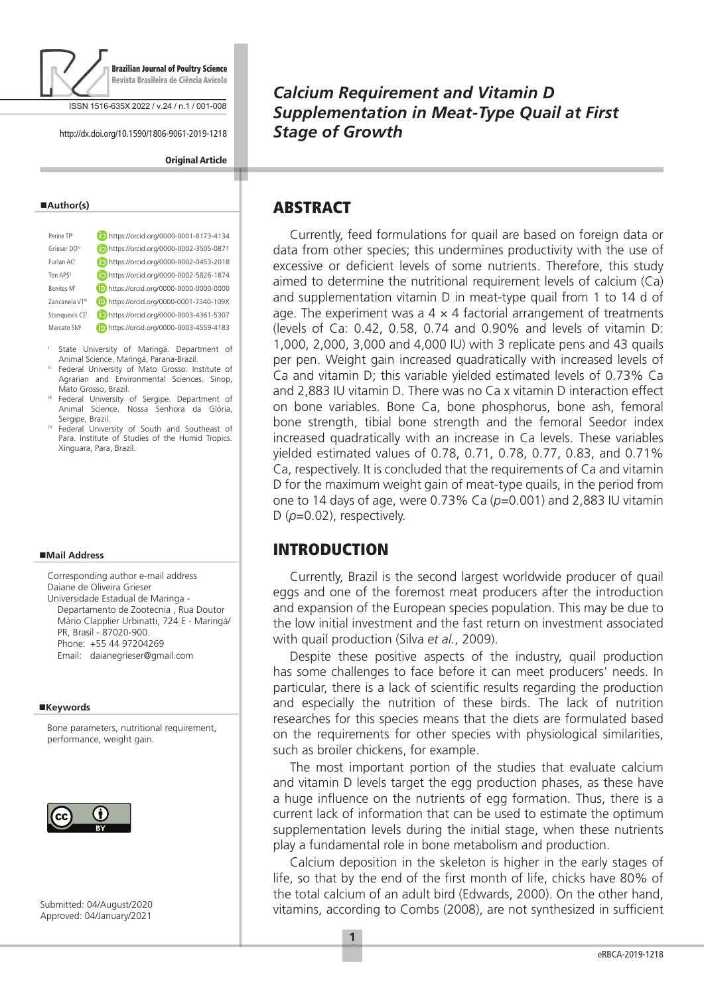

ISSN 1516-635X 2022 / v.24 / n.1 / 001-008

http://dx.doi.org/10.1590/1806-9061-2019-1218

#### **Original Article**

#### **Author(s)**

| Perine TP                   | https://orcid.org/0000-0001-8173-4134 |
|-----------------------------|---------------------------------------|
| Grieser DO <sup>N</sup>     | https://orcid.org/0000-0002-3505-0871 |
| Furlan AC                   | https://orcid.org/0000-0002-0453-2018 |
| Ton APS <sup>II</sup>       | https://orcid.org/0000-0002-5826-1874 |
| Benites M                   | https://orcid.org/0000-0000-0000-0000 |
| 7ancanela VT <sup>III</sup> | https://orcid.org/0000-0001-7340-109X |
| Stanguevis CE               | https://orcid.org/0000-0003-4361-5307 |
| Marcato SM <sup>I</sup>     | https://orcid.org/0000-0003-4559-4183 |
|                             |                                       |

- <sup>I</sup> State University of Maringá. Department of Animal Science. Maringá, Parana-Brazil.
- II Federal University of Mato Grosso. Institute of Agrarian and Environmental Sciences. Sinop, Mato Grosso, Brazil.
- III Federal University of Sergipe. Department of Animal Science. Nossa Senhora da Glória, Sergipe, Brazil.
- <sup>IV</sup> Federal University of South and Southeast of Para. Institute of Studies of the Humid Tropics. Xinguara, Para, Brazil.

#### **Mail Address**

Corresponding author e-mail address Daiane de Oliveira Grieser Universidade Estadual de Maringa - Departamento de Zootecnia , Rua Doutor Mário Clapplier Urbinatti, 724 E - Maringá/ PR, Brasil - 87020-900. Phone: +55 44 97204269 Email: daianegrieser@gmail.com

#### **Keywords**

Bone parameters, nutritional requirement, performance, weight gain.



Submitted: 04/August/2020 Approved: 04/January/2021

## *Calcium Requirement and Vitamin D Supplementation in Meat-Type Quail at First Stage of Growth*

## ABSTRACT

Currently, feed formulations for quail are based on foreign data or data from other species; this undermines productivity with the use of excessive or deficient levels of some nutrients. Therefore, this study aimed to determine the nutritional requirement levels of calcium (Ca) and supplementation vitamin D in meat-type quail from 1 to 14 d of age. The experiment was a  $4 \times 4$  factorial arrangement of treatments (levels of Ca: 0.42, 0.58, 0.74 and 0.90% and levels of vitamin D: 1,000, 2,000, 3,000 and 4,000 IU) with 3 replicate pens and 43 quails per pen. Weight gain increased quadratically with increased levels of Ca and vitamin D; this variable yielded estimated levels of 0.73% Ca and 2,883 IU vitamin D. There was no Ca x vitamin D interaction effect on bone variables. Bone Ca, bone phosphorus, bone ash, femoral bone strength, tibial bone strength and the femoral Seedor index increased quadratically with an increase in Ca levels. These variables yielded estimated values of 0.78, 0.71, 0.78, 0.77, 0.83, and 0.71% Ca, respectively. It is concluded that the requirements of Ca and vitamin D for the maximum weight gain of meat-type quails, in the period from one to 14 days of age, were 0.73% Ca (*p*=0.001) and 2,883 IU vitamin D ( $p=0.02$ ), respectively.

## INTRODUCTION

Currently, Brazil is the second largest worldwide producer of quail eggs and one of the foremost meat producers after the introduction and expansion of the European species population. This may be due to the low initial investment and the fast return on investment associated with quail production (Silva *et al.*, 2009).

Despite these positive aspects of the industry, quail production has some challenges to face before it can meet producers' needs. In particular, there is a lack of scientific results regarding the production and especially the nutrition of these birds. The lack of nutrition researches for this species means that the diets are formulated based on the requirements for other species with physiological similarities, such as broiler chickens, for example.

The most important portion of the studies that evaluate calcium and vitamin D levels target the egg production phases, as these have a huge influence on the nutrients of egg formation. Thus, there is a current lack of information that can be used to estimate the optimum supplementation levels during the initial stage, when these nutrients play a fundamental role in bone metabolism and production.

Calcium deposition in the skeleton is higher in the early stages of life, so that by the end of the first month of life, chicks have 80% of the total calcium of an adult bird (Edwards, 2000). On the other hand, vitamins, according to Combs (2008), are not synthesized in sufficient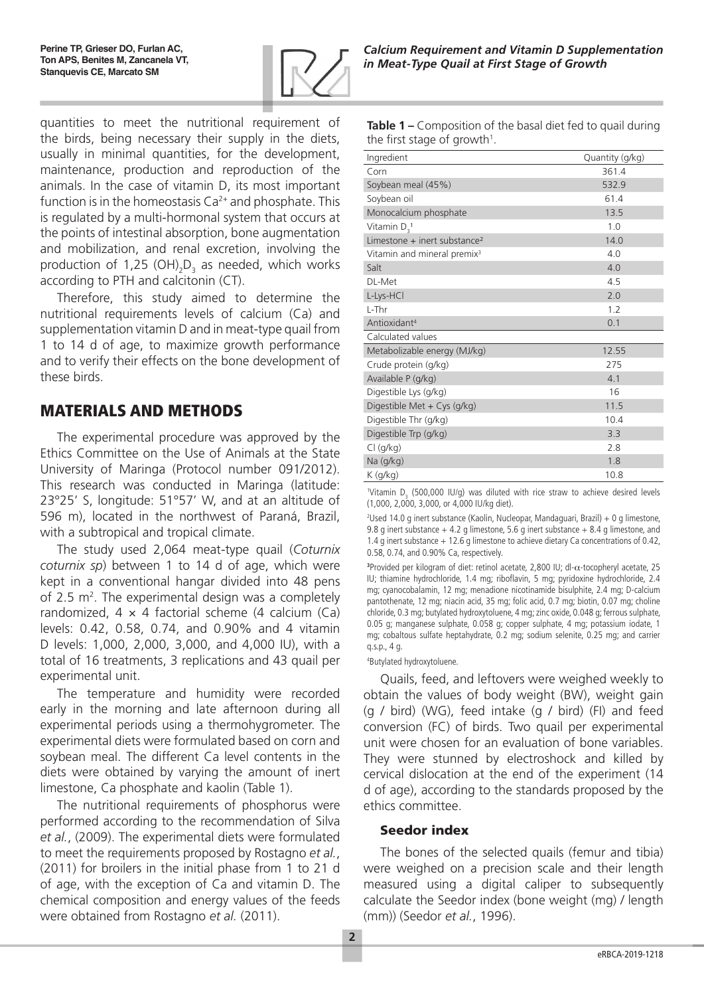

quantities to meet the nutritional requirement of the birds, being necessary their supply in the diets, usually in minimal quantities, for the development, maintenance, production and reproduction of the animals. In the case of vitamin D, its most important function is in the homeostasis  $Ca^{2+}$  and phosphate. This is regulated by a multi-hormonal system that occurs at the points of intestinal absorption, bone augmentation and mobilization, and renal excretion, involving the production of 1,25 (OH)<sub>2</sub>D<sub>3</sub> as needed, which works according to PTH and calcitonin (CT).

Therefore, this study aimed to determine the nutritional requirements levels of calcium (Ca) and supplementation vitamin D and in meat-type quail from 1 to 14 d of age, to maximize growth performance and to verify their effects on the bone development of these birds.

# MATERIALS AND METHODS

The experimental procedure was approved by the Ethics Committee on the Use of Animals at the State University of Maringa (Protocol number 091/2012). This research was conducted in Maringa (latitude: 23°25' S, longitude: 51°57' W, and at an altitude of 596 m), located in the northwest of Paraná, Brazil, with a subtropical and tropical climate.

The study used 2,064 meat-type quail (*Coturnix coturnix sp*) between 1 to 14 d of age, which were kept in a conventional hangar divided into 48 pens of 2.5  $m<sup>2</sup>$ . The experimental design was a completely randomized,  $4 \times 4$  factorial scheme (4 calcium (Ca) levels: 0.42, 0.58, 0.74, and 0.90% and 4 vitamin D levels: 1,000, 2,000, 3,000, and 4,000 IU), with a total of 16 treatments, 3 replications and 43 quail per experimental unit.

The temperature and humidity were recorded early in the morning and late afternoon during all experimental periods using a thermohygrometer. The experimental diets were formulated based on corn and soybean meal. The different Ca level contents in the diets were obtained by varying the amount of inert limestone, Ca phosphate and kaolin (Table 1).

The nutritional requirements of phosphorus were performed according to the recommendation of Silva *et al.*, (2009). The experimental diets were formulated to meet the requirements proposed by Rostagno *et al.*, (2011) for broilers in the initial phase from 1 to 21 d of age, with the exception of Ca and vitamin D. The chemical composition and energy values of the feeds were obtained from Rostagno *et al.* (2011).

| $\mathfrak{c}_1$ , $\mathfrak{c}_2$ , $\mathfrak{c}_3$ , $\mathfrak{c}_4$ , $\mathfrak{c}_5$ , $\mathfrak{c}_6$ , $\mathfrak{c}_7$ , $\mathfrak{c}_8$ |                 |  |  |  |
|-------------------------------------------------------------------------------------------------------------------------------------------------------|-----------------|--|--|--|
| Ingredient                                                                                                                                            | Quantity (g/kg) |  |  |  |
| Corn                                                                                                                                                  | 361.4           |  |  |  |
| Soybean meal (45%)                                                                                                                                    | 532.9           |  |  |  |
| Soybean oil                                                                                                                                           | 61.4            |  |  |  |
| Monocalcium phosphate                                                                                                                                 | 13.5            |  |  |  |
| Vitamin $D_3^1$                                                                                                                                       | 1.0             |  |  |  |
| Limestone $+$ inert substance <sup>2</sup>                                                                                                            | 14.0            |  |  |  |
| Vitamin and mineral premix <sup>3</sup>                                                                                                               | 4.0             |  |  |  |
| Salt                                                                                                                                                  | 4.0             |  |  |  |
| DL-Met                                                                                                                                                | 4.5             |  |  |  |
| L-Lys-HCl                                                                                                                                             | 2.0             |  |  |  |
| L-Thr                                                                                                                                                 | 1.2             |  |  |  |
| Antioxidant <sup>4</sup>                                                                                                                              | 0.1             |  |  |  |
| Calculated values                                                                                                                                     |                 |  |  |  |
| Metabolizable energy (MJ/kg)                                                                                                                          | 12.55           |  |  |  |
| Crude protein (g/kg)                                                                                                                                  | 275             |  |  |  |
| Available P (g/kg)                                                                                                                                    | 4.1             |  |  |  |
| Digestible Lys (g/kg)                                                                                                                                 | 16              |  |  |  |
| Digestible Met + Cys (g/kg)                                                                                                                           | 11.5            |  |  |  |
| Digestible Thr (g/kg)                                                                                                                                 | 10.4            |  |  |  |
| Digestible Trp (g/kg)                                                                                                                                 | 3.3             |  |  |  |
| $Cl$ (g/kg)                                                                                                                                           | 2.8             |  |  |  |
| Na (g/kg)                                                                                                                                             | 1.8             |  |  |  |
| $K$ (g/kg)                                                                                                                                            | 10.8            |  |  |  |

**Table 1 –** Composition of the basal diet fed to quail during the first stage of growth $^1$ .

<sup>1</sup>Vitamin  $D_3$  (500,000 IU/g) was diluted with rice straw to achieve desired levels (1,000, 2,000, 3,000, or 4,000 IU/kg diet).

2 Used 14.0 g inert substance (Kaolin, Nucleopar, Mandaguari, Brazil) + 0 g limestone, 9.8 g inert substance  $+$  4.2 g limestone, 5.6 g inert substance  $+$  8.4 g limestone, and 1.4 g inert substance + 12.6 g limestone to achieve dietary Ca concentrations of 0.42, 0.58, 0.74, and 0.90% Ca, respectively.

**3** Provided per kilogram of diet: retinol acetate, 2,800 IU; dl-α-tocopheryl acetate, 25 IU; thiamine hydrochloride, 1.4 mg; riboflavin, 5 mg; pyridoxine hydrochloride, 2.4 mg; cyanocobalamin, 12 mg; menadione nicotinamide bisulphite, 2.4 mg; D-calcium pantothenate, 12 mg; niacin acid, 35 mg; folic acid, 0.7 mg; biotin, 0.07 mg; choline chloride, 0.3 mg; butylated hydroxytoluene, 4 mg; zinc oxide, 0.048 g; ferrous sulphate, 0.05 g; manganese sulphate, 0.058 g; copper sulphate, 4 mg; potassium iodate, 1 mg; cobaltous sulfate heptahydrate, 0.2 mg; sodium selenite, 0.25 mg; and carrier q.s.p., 4 g.

4 Butylated hydroxytoluene.

Quails, feed, and leftovers were weighed weekly to obtain the values of body weight (BW), weight gain (g / bird) (WG), feed intake (g / bird) (FI) and feed conversion (FC) of birds. Two quail per experimental unit were chosen for an evaluation of bone variables. They were stunned by electroshock and killed by cervical dislocation at the end of the experiment (14 d of age), according to the standards proposed by the ethics committee.

#### Seedor index

The bones of the selected quails (femur and tibia) were weighed on a precision scale and their length measured using a digital caliper to subsequently calculate the Seedor index (bone weight (mg) / length (mm)) (Seedor *et al.*, 1996).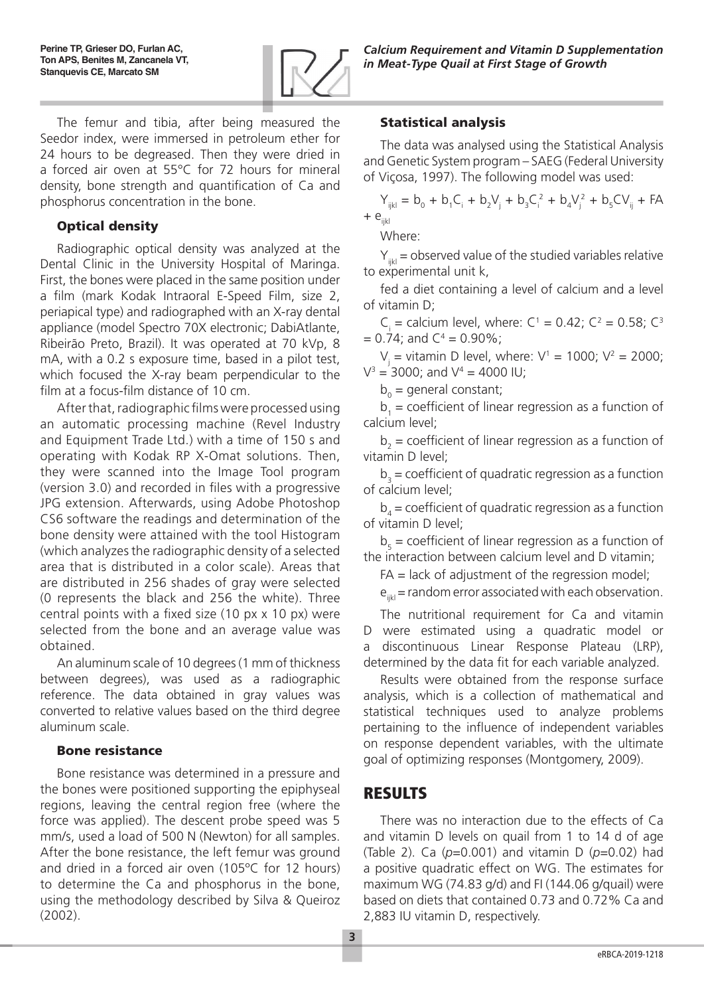

*Calcium Requirement and Vitamin D Supplementation in Meat-Type Quail at First Stage of Growth*

The femur and tibia, after being measured the Seedor index, were immersed in petroleum ether for 24 hours to be degreased. Then they were dried in a forced air oven at 55°C for 72 hours for mineral density, bone strength and quantification of Ca and phosphorus concentration in the bone.

#### Optical density

Radiographic optical density was analyzed at the Dental Clinic in the University Hospital of Maringa. First, the bones were placed in the same position under a film (mark Kodak Intraoral E-Speed Film, size 2, periapical type) and radiographed with an X-ray dental appliance (model Spectro 70X electronic; DabiAtlante, Ribeirão Preto, Brazil). It was operated at 70 kVp, 8 mA, with a 0.2 s exposure time, based in a pilot test, which focused the X-ray beam perpendicular to the film at a focus-film distance of 10 cm.

After that, radiographic films were processed using an automatic processing machine (Revel Industry and Equipment Trade Ltd.) with a time of 150 s and operating with Kodak RP X-Omat solutions. Then, they were scanned into the Image Tool program (version 3.0) and recorded in files with a progressive JPG extension. Afterwards, using Adobe Photoshop CS6 software the readings and determination of the bone density were attained with the tool Histogram (which analyzes the radiographic density of a selected area that is distributed in a color scale). Areas that are distributed in 256 shades of gray were selected (0 represents the black and 256 the white). Three central points with a fixed size (10 px x 10 px) were selected from the bone and an average value was obtained.

An aluminum scale of 10 degrees (1 mm of thickness between degrees), was used as a radiographic reference. The data obtained in gray values was converted to relative values based on the third degree aluminum scale.

## Bone resistance

Bone resistance was determined in a pressure and the bones were positioned supporting the epiphyseal regions, leaving the central region free (where the force was applied). The descent probe speed was 5 mm/s, used a load of 500 N (Newton) for all samples. After the bone resistance, the left femur was ground and dried in a forced air oven (105ºC for 12 hours) to determine the Ca and phosphorus in the bone, using the methodology described by Silva & Queiroz (2002).

## Statistical analysis

The data was analysed using the Statistical Analysis and Genetic System program – SAEG (Federal University of Viçosa, 1997). The following model was used:

 $Y_{ijkl} = b_0 + b_1 C_i + b_2 V_j + b_3 C_i^2 + b_4 V_j^2 + b_5 C V_{ij} + FA$  $+ e<sub>iii</sub>$ 

Where:

 $Y_{ijkl}$  = observed value of the studied variables relative to experimental unit k,

fed a diet containing a level of calcium and a level of vitamin D;

 $C_i$  = calcium level, where:  $C^1$  = 0.42;  $C^2$  = 0.58;  $C^3$  $= 0.74$ ; and  $C<sup>4</sup> = 0.90\%$ ;

 $V_j$  = vitamin D level, where:  $V^1$  = 1000;  $V^2$  = 2000;  $V^3 = 3000$ ; and  $V^4 = 4000$  IU;

 $b_0$  = general constant;

 $b_1$  = coefficient of linear regression as a function of calcium level;

 $b_2$  = coefficient of linear regression as a function of vitamin D level;

 $b_3$  = coefficient of quadratic regression as a function of calcium level;

 $b_4$  = coefficient of quadratic regression as a function of vitamin D level;

 $b<sub>5</sub>$  = coefficient of linear regression as a function of the interaction between calcium level and D vitamin;

 $FA =$  lack of adjustment of the regression model;

 $e_{ikl}$  = random error associated with each observation.

The nutritional requirement for Ca and vitamin D were estimated using a quadratic model or a discontinuous Linear Response Plateau (LRP), determined by the data fit for each variable analyzed.

Results were obtained from the response surface analysis, which is a collection of mathematical and statistical techniques used to analyze problems pertaining to the influence of independent variables on response dependent variables, with the ultimate goal of optimizing responses (Montgomery, 2009).

## RESULTS

There was no interaction due to the effects of Ca and vitamin D levels on quail from 1 to 14 d of age (Table 2). Ca (*p*=0.001) and vitamin D (*p*=0.02) had a positive quadratic effect on WG. The estimates for maximum WG (74.83 g/d) and FI (144.06 g/quail) were based on diets that contained 0.73 and 0.72% Ca and 2,883 IU vitamin D, respectively.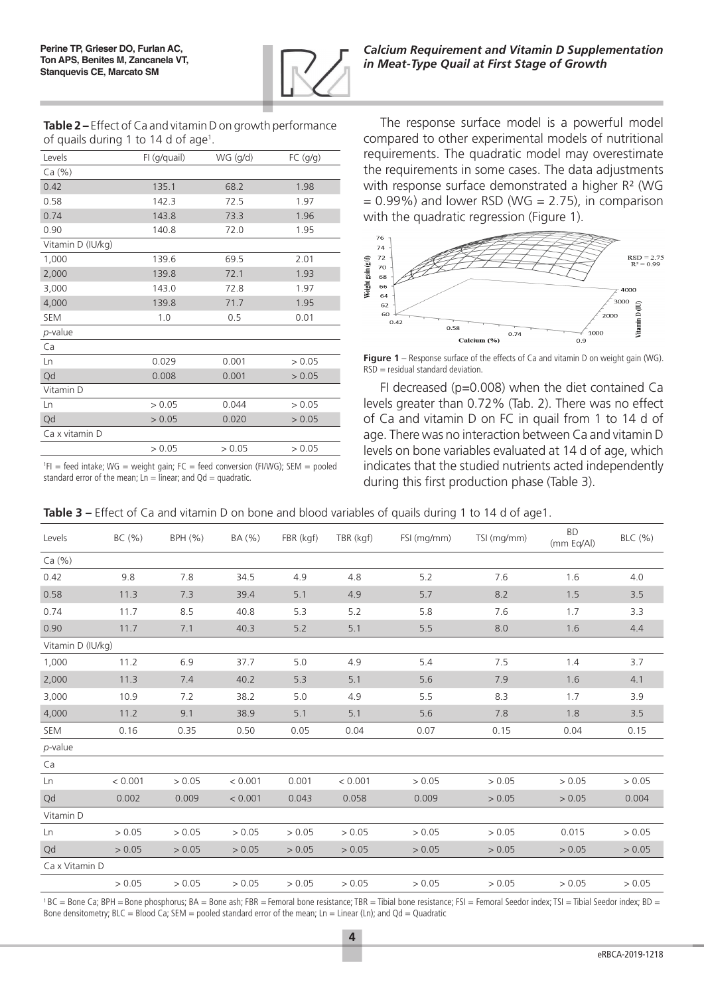

**Table 2 –** Effect of Ca and vitamin D on growth performance of quails during 1 to 14 d of age<sup>1</sup>.

| Levels            | FI (g/quail) | WG (g/d) | FC (g/g) |  |
|-------------------|--------------|----------|----------|--|
| Ca (%)            |              |          |          |  |
| 0.42              | 135.1        | 68.2     | 1.98     |  |
| 0.58              | 142.3        | 72.5     | 1.97     |  |
| 0.74              | 143.8        | 73.3     | 1.96     |  |
| 0.90              | 140.8        | 72.0     | 1.95     |  |
| Vitamin D (IU/kg) |              |          |          |  |
| 1,000             | 139.6        | 69.5     | 2.01     |  |
| 2,000             | 139.8        | 72.1     | 1.93     |  |
| 3,000             | 143.0        | 72.8     | 1.97     |  |
| 4,000             | 139.8        | 71.7     | 1.95     |  |
| <b>SEM</b>        | 1.0          | 0.5      | 0.01     |  |
| $p$ -value        |              |          |          |  |
| Ca                |              |          |          |  |
| Ln                | 0.029        | 0.001    | > 0.05   |  |
| Qd                | 0.008        | 0.001    | > 0.05   |  |
| Vitamin D         |              |          |          |  |
| Ln                | > 0.05       | 0.044    | > 0.05   |  |
| Qd                | > 0.05       | 0.020    | > 0.05   |  |
| Ca x vitamin D    |              |          |          |  |
|                   | > 0.05       | > 0.05   | > 0.05   |  |

 ${}^{1}$ FI = feed intake; WG = weight gain; FC = feed conversion (FI/WG); SEM = pooled standard error of the mean;  $Ln = linear$ ; and  $Qd = quadratic$ .

*Calcium Requirement and Vitamin D Supplementation in Meat-Type Quail at First Stage of Growth*

The response surface model is a powerful model compared to other experimental models of nutritional requirements. The quadratic model may overestimate the requirements in some cases. The data adjustments with response surface demonstrated a higher R² (WG  $= 0.99\%$ ) and lower RSD (WG  $= 2.75$ ), in comparison with the quadratic regression (Figure 1).



**Figure 1** – Response surface of the effects of Ca and vitamin D on weight gain (WG).  $RSD = residual standard deviation$ 

FI decreased ( $p=0.008$ ) when the diet contained Ca levels greater than 0.72% (Tab. 2). There was no effect of Ca and vitamin D on FC in quail from 1 to 14 d of age. There was no interaction between Ca and vitamin D levels on bone variables evaluated at 14 d of age, which indicates that the studied nutrients acted independently during this first production phase (Table 3).

| Levels            | BC(%)   | BPH (%) | BA (%)  | FBR (kgf) | TBR (kgf) | FSI (mg/mm) | TSI (mg/mm) | <b>BD</b><br>(mm Eq/Al) | BLC (%) |
|-------------------|---------|---------|---------|-----------|-----------|-------------|-------------|-------------------------|---------|
| Ca (%)            |         |         |         |           |           |             |             |                         |         |
| 0.42              | 9.8     | 7.8     | 34.5    | 4.9       | 4.8       | 5.2         | 7.6         | 1.6                     | 4.0     |
| 0.58              | 11.3    | 7.3     | 39.4    | 5.1       | 4.9       | 5.7         | 8.2         | 1.5                     | 3.5     |
| 0.74              | 11.7    | 8.5     | 40.8    | 5.3       | 5.2       | 5.8         | 7.6         | 1.7                     | 3.3     |
| 0.90              | 11.7    | 7.1     | 40.3    | 5.2       | 5.1       | 5.5         | 8.0         | 1.6                     | 4.4     |
| Vitamin D (IU/kg) |         |         |         |           |           |             |             |                         |         |
| 1,000             | 11.2    | 6.9     | 37.7    | 5.0       | 4.9       | 5.4         | 7.5         | 1.4                     | 3.7     |
| 2,000             | 11.3    | 7.4     | 40.2    | 5.3       | 5.1       | 5.6         | 7.9         | 1.6                     | 4.1     |
| 3,000             | 10.9    | 7.2     | 38.2    | 5.0       | 4.9       | 5.5         | 8.3         | 1.7                     | 3.9     |
| 4,000             | 11.2    | 9.1     | 38.9    | 5.1       | 5.1       | 5.6         | 7.8         | 1.8                     | 3.5     |
| SEM               | 0.16    | 0.35    | 0.50    | 0.05      | 0.04      | 0.07        | 0.15        | 0.04                    | 0.15    |
| $p$ -value        |         |         |         |           |           |             |             |                         |         |
| Ca                |         |         |         |           |           |             |             |                         |         |
| Ln                | < 0.001 | > 0.05  | < 0.001 | 0.001     | < 0.001   | > 0.05      | > 0.05      | > 0.05                  | > 0.05  |
| Qd                | 0.002   | 0.009   | < 0.001 | 0.043     | 0.058     | 0.009       | > 0.05      | > 0.05                  | 0.004   |
| Vitamin D         |         |         |         |           |           |             |             |                         |         |
| Ln                | > 0.05  | > 0.05  | > 0.05  | > 0.05    | > 0.05    | > 0.05      | > 0.05      | 0.015                   | > 0.05  |
| Qd                | > 0.05  | > 0.05  | > 0.05  | > 0.05    | > 0.05    | > 0.05      | > 0.05      | > 0.05                  | > 0.05  |
| Ca x Vitamin D    |         |         |         |           |           |             |             |                         |         |
|                   | > 0.05  | > 0.05  | > 0.05  | > 0.05    | > 0.05    | > 0.05      | > 0.05      | > 0.05                  | > 0.05  |

**Table 3** – Effect of Ca and vitamin D on bone and blood variables of quails during 1 to 14 d of age1.

<sup>1</sup>BC = Bone Ca; BPH = Bone phosphorus; BA = Bone ash; FBR = Femoral bone resistance; TBR = Tibial bone resistance; FSI = Femoral Seedor index; TSI = Tibial Seedor index; BD = Bone densitometry; BLC = Blood Ca; SEM = pooled standard error of the mean; Ln = Linear (Ln); and Qd = Quadratic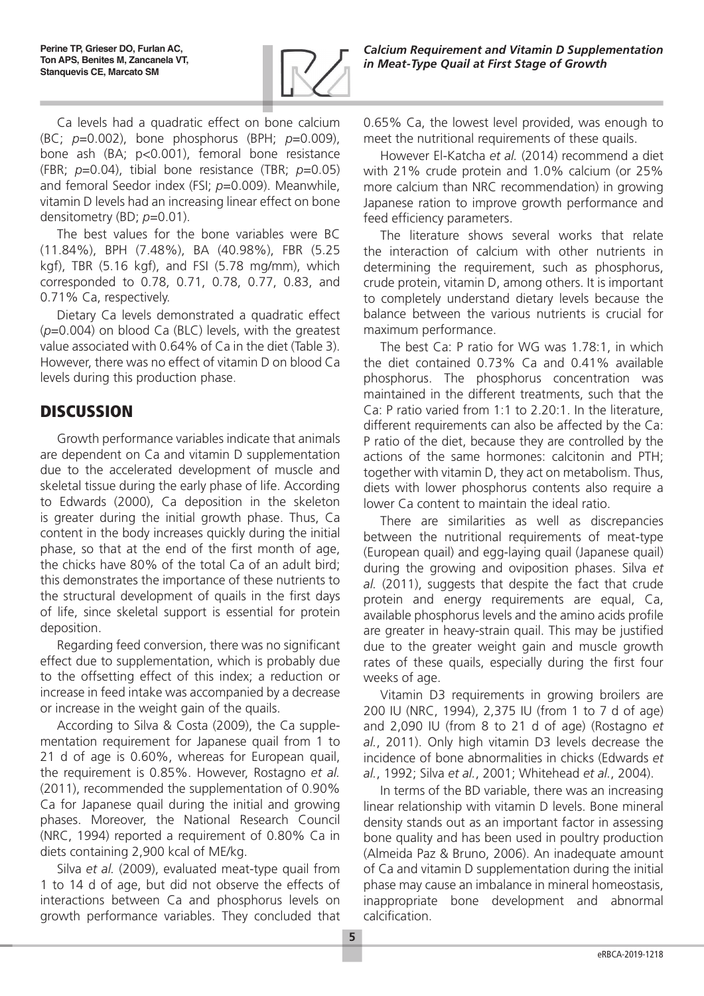

Ca levels had a quadratic effect on bone calcium (BC; *p*=0.002), bone phosphorus (BPH; *p*=0.009), bone ash (BA; p<0.001), femoral bone resistance (FBR; *p*=0.04), tibial bone resistance (TBR; *p*=0.05) and femoral Seedor index (FSI; *p*=0.009). Meanwhile, vitamin D levels had an increasing linear effect on bone densitometry (BD; *p*=0.01).

The best values for the bone variables were BC (11.84%), BPH (7.48%), BA (40.98%), FBR (5.25 kgf), TBR (5.16 kgf), and FSI (5.78 mg/mm), which corresponded to 0.78, 0.71, 0.78, 0.77, 0.83, and 0.71% Ca, respectively.

Dietary Ca levels demonstrated a quadratic effect (*p*=0.004) on blood Ca (BLC) levels, with the greatest value associated with 0.64% of Ca in the diet (Table 3). However, there was no effect of vitamin D on blood Ca levels during this production phase.

# **DISCUSSION**

Growth performance variables indicate that animals are dependent on Ca and vitamin D supplementation due to the accelerated development of muscle and skeletal tissue during the early phase of life. According to Edwards (2000), Ca deposition in the skeleton is greater during the initial growth phase. Thus, Ca content in the body increases quickly during the initial phase, so that at the end of the first month of age, the chicks have 80% of the total Ca of an adult bird; this demonstrates the importance of these nutrients to the structural development of quails in the first days of life, since skeletal support is essential for protein deposition.

Regarding feed conversion, there was no significant effect due to supplementation, which is probably due to the offsetting effect of this index; a reduction or increase in feed intake was accompanied by a decrease or increase in the weight gain of the quails.

According to Silva & Costa (2009), the Ca supplementation requirement for Japanese quail from 1 to 21 d of age is 0.60%, whereas for European quail, the requirement is 0.85%. However, Rostagno *et al.* (2011), recommended the supplementation of 0.90% Ca for Japanese quail during the initial and growing phases. Moreover, the National Research Council (NRC, 1994) reported a requirement of 0.80% Ca in diets containing 2,900 kcal of ME/kg.

Silva *et al.* (2009), evaluated meat-type quail from 1 to 14 d of age, but did not observe the effects of interactions between Ca and phosphorus levels on growth performance variables. They concluded that 0.65% Ca, the lowest level provided, was enough to meet the nutritional requirements of these quails.

However El-Katcha *et al.* (2014) recommend a diet with 21% crude protein and 1.0% calcium (or 25% more calcium than NRC recommendation) in growing Japanese ration to improve growth performance and feed efficiency parameters.

The literature shows several works that relate the interaction of calcium with other nutrients in determining the requirement, such as phosphorus, crude protein, vitamin D, among others. It is important to completely understand dietary levels because the balance between the various nutrients is crucial for maximum performance.

The best Ca: P ratio for WG was 1.78:1, in which the diet contained 0.73% Ca and 0.41% available phosphorus. The phosphorus concentration was maintained in the different treatments, such that the Ca: P ratio varied from 1:1 to 2.20:1. In the literature, different requirements can also be affected by the Ca: P ratio of the diet, because they are controlled by the actions of the same hormones: calcitonin and PTH; together with vitamin D, they act on metabolism. Thus, diets with lower phosphorus contents also require a lower Ca content to maintain the ideal ratio.

There are similarities as well as discrepancies between the nutritional requirements of meat-type (European quail) and egg-laying quail (Japanese quail) during the growing and oviposition phases. Silva *et al.* (2011), suggests that despite the fact that crude protein and energy requirements are equal, Ca, available phosphorus levels and the amino acids profile are greater in heavy-strain quail. This may be justified due to the greater weight gain and muscle growth rates of these quails, especially during the first four weeks of age.

Vitamin D3 requirements in growing broilers are 200 IU (NRC, 1994), 2,375 IU (from 1 to 7 d of age) and 2,090 IU (from 8 to 21 d of age) (Rostagno *et al.*, 2011). Only high vitamin D3 levels decrease the incidence of bone abnormalities in chicks (Edwards *et al.*, 1992; Silva *et al.*, 2001; Whitehead *et al.*, 2004).

In terms of the BD variable, there was an increasing linear relationship with vitamin D levels. Bone mineral density stands out as an important factor in assessing bone quality and has been used in poultry production (Almeida Paz & Bruno, 2006). An inadequate amount of Ca and vitamin D supplementation during the initial phase may cause an imbalance in mineral homeostasis, inappropriate bone development and abnormal calcification.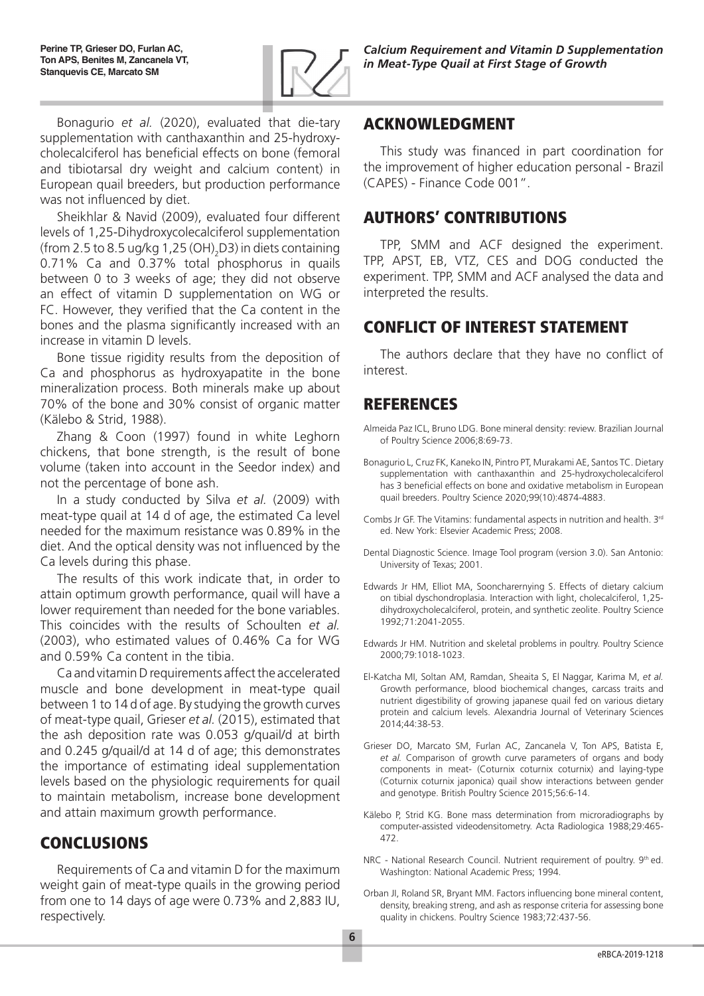

Bonagurio *et al.* (2020), evaluated that die-tary supplementation with canthaxanthin and 25-hydroxycholecalciferol has beneficial effects on bone (femoral and tibiotarsal dry weight and calcium content) in European quail breeders, but production performance was not influenced by diet.

Sheikhlar & Navid (2009), evaluated four different levels of 1,25-Dihydroxycolecalciferol supplementation (from 2.5 to 8.5 ug/kg 1,25 (OH) $_{2}$ D3) in diets containing 0.71% Ca and 0.37% total phosphorus in quails between 0 to 3 weeks of age; they did not observe an effect of vitamin D supplementation on WG or FC. However, they verified that the Ca content in the bones and the plasma significantly increased with an increase in vitamin D levels.

Bone tissue rigidity results from the deposition of Ca and phosphorus as hydroxyapatite in the bone mineralization process. Both minerals make up about 70% of the bone and 30% consist of organic matter (Kälebo & Strid, 1988).

Zhang & Coon (1997) found in white Leghorn chickens, that bone strength, is the result of bone volume (taken into account in the Seedor index) and not the percentage of bone ash.

In a study conducted by Silva *et al.* (2009) with meat-type quail at 14 d of age, the estimated Ca level needed for the maximum resistance was 0.89% in the diet. And the optical density was not influenced by the Ca levels during this phase.

The results of this work indicate that, in order to attain optimum growth performance, quail will have a lower requirement than needed for the bone variables. This coincides with the results of Schoulten *et al.* (2003), who estimated values of 0.46% Ca for WG and 0.59% Ca content in the tibia.

Ca and vitamin D requirements affect the accelerated muscle and bone development in meat-type quail between 1 to 14 d of age. By studying the growth curves of meat-type quail, Grieser *et al.* (2015), estimated that the ash deposition rate was 0.053 g/quail/d at birth and 0.245 g/quail/d at 14 d of age; this demonstrates the importance of estimating ideal supplementation levels based on the physiologic requirements for quail to maintain metabolism, increase bone development and attain maximum growth performance.

## CONCLUSIONS

Requirements of Ca and vitamin D for the maximum weight gain of meat-type quails in the growing period from one to 14 days of age were 0.73% and 2,883 IU, respectively.

## ACKNOWLEDGMENT

This study was financed in part coordination for the improvement of higher education personal - Brazil (CAPES) - Finance Code 001".

## AUTHORS' CONTRIBUTIONS

TPP, SMM and ACF designed the experiment. TPP, APST, EB, VTZ, CES and DOG conducted the experiment. TPP, SMM and ACF analysed the data and interpreted the results.

# CONFLICT OF INTEREST STATEMENT

The authors declare that they have no conflict of interest.

## REFERENCES

- Almeida Paz ICL, Bruno LDG. Bone mineral density: review. Brazilian Journal of Poultry Science 2006;8:69-73.
- Bonagurio L, Cruz FK, Kaneko IN, Pintro PT, Murakami AE, Santos TC. Dietary supplementation with canthaxanthin and 25-hydroxycholecalciferol has 3 beneficial effects on bone and oxidative metabolism in European quail breeders. Poultry Science 2020;99(10):4874-4883.
- Combs Jr GF. The Vitamins: fundamental aspects in nutrition and health. 3rd ed. New York: Elsevier Academic Press; 2008.
- Dental Diagnostic Science. Image Tool program (version 3.0). San Antonio: University of Texas; 2001.
- Edwards Jr HM, Elliot MA, Sooncharernying S. Effects of dietary calcium on tibial dyschondroplasia. Interaction with light, cholecalciferol, 1,25 dihydroxycholecalciferol, protein, and synthetic zeolite. Poultry Science 1992;71:2041-2055.
- Edwards Jr HM. Nutrition and skeletal problems in poultry. Poultry Science 2000;79:1018-1023.
- El-Katcha MI, Soltan AM, Ramdan, Sheaita S, El Naggar, Karima M, *et al.* Growth performance, blood biochemical changes, carcass traits and nutrient digestibility of growing japanese quail fed on various dietary protein and calcium levels. Alexandria Journal of Veterinary Sciences 2014;44:38-53.
- Grieser DO, Marcato SM, Furlan AC, Zancanela V, Ton APS, Batista E, *et al.* Comparison of growth curve parameters of organs and body components in meat- (Coturnix coturnix coturnix) and laying-type (Coturnix coturnix japonica) quail show interactions between gender and genotype. British Poultry Science 2015;56:6-14.
- Kälebo P, Strid KG. Bone mass determination from microradiographs by computer-assisted videodensitometry. Acta Radiologica 1988;29:465- 472.
- NRC National Research Council. Nutrient requirement of poultry. 9th ed. Washington: National Academic Press; 1994.
- Orban JI, Roland SR, Bryant MM. Factors influencing bone mineral content, density, breaking streng, and ash as response criteria for assessing bone quality in chickens. Poultry Science 1983;72:437-56.